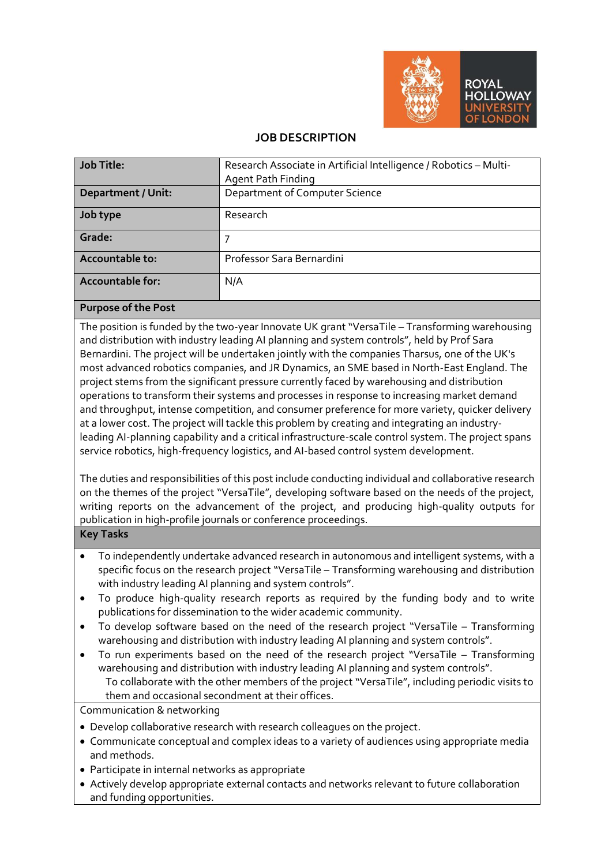

#### **JOB DESCRIPTION**

| Job Title:                | Research Associate in Artificial Intelligence / Robotics - Multi- |  |  |  |
|---------------------------|-------------------------------------------------------------------|--|--|--|
|                           | <b>Agent Path Finding</b>                                         |  |  |  |
| <b>Department / Unit:</b> | Department of Computer Science                                    |  |  |  |
| Job type                  | Research                                                          |  |  |  |
| Grade:                    |                                                                   |  |  |  |
| Accountable to:           | Professor Sara Bernardini                                         |  |  |  |
| Accountable for:          | N/A                                                               |  |  |  |
| Purpose of the Post       |                                                                   |  |  |  |

The position is funded by the two-year Innovate UK grant "VersaTile – Transforming warehousing and distribution with industry leading AI planning and system controls", held by Prof Sara Bernardini. The project will be undertaken jointly with the companies Tharsus, one of the UK's most advanced robotics companies, and JR Dynamics, an SME based in North-East England. The project stems from the significant pressure currently faced by warehousing and distribution operations to transform their systems and processes in response to increasing market demand and throughput, intense competition, and consumer preference for more variety, quicker delivery at a lower cost. The project will tackle this problem by creating and integrating an industryleading AI-planning capability and a critical infrastructure-scale control system. The project spans service robotics, high-frequency logistics, and AI-based control system development.

The duties and responsibilities of this post include conducting individual and collaborative research on the themes of the project "VersaTile", developing software based on the needs of the project, writing reports on the advancement of the project, and producing high-quality outputs for publication in high-profile journals or conference proceedings.

#### **Key Tasks**

- To independently undertake advanced research in autonomous and intelligent systems, with a specific focus on the research project "VersaTile – Transforming warehousing and distribution with industry leading AI planning and system controls".
- To produce high-quality research reports as required by the funding body and to write publications for dissemination to the wider academic community.
- To develop software based on the need of the research project "VersaTile Transforming warehousing and distribution with industry leading AI planning and system controls".
- To run experiments based on the need of the research project "VersaTile Transforming warehousing and distribution with industry leading AI planning and system controls". To collaborate with the other members of the project "VersaTile", including periodic visits to them and occasional secondment at their offices.

Communication & networking

- Develop collaborative research with research colleagues on the project.
- Communicate conceptual and complex ideas to a variety of audiences using appropriate media and methods.
- Participate in internal networks as appropriate
- Actively develop appropriate external contacts and networks relevant to future collaboration and funding opportunities.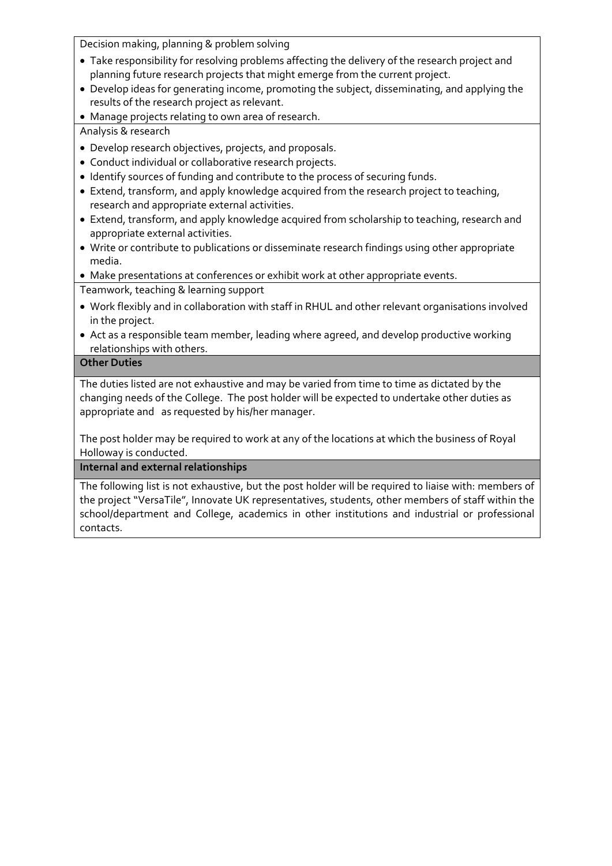Decision making, planning & problem solving

- Take responsibility for resolving problems affecting the delivery of the research project and planning future research projects that might emerge from the current project.
- Develop ideas for generating income, promoting the subject, disseminating, and applying the results of the research project as relevant.
- Manage projects relating to own area of research.

Analysis & research

- Develop research objectives, projects, and proposals.
- Conduct individual or collaborative research projects.
- Identify sources of funding and contribute to the process of securing funds.
- Extend, transform, and apply knowledge acquired from the research project to teaching, research and appropriate external activities.
- Extend, transform, and apply knowledge acquired from scholarship to teaching, research and appropriate external activities.
- Write or contribute to publications or disseminate research findings using other appropriate media.
- Make presentations at conferences or exhibit work at other appropriate events.

Teamwork, teaching & learning support

- Work flexibly and in collaboration with staff in RHUL and other relevant organisations involved in the project.
- Act as a responsible team member, leading where agreed, and develop productive working relationships with others.

## **Other Duties**

The duties listed are not exhaustive and may be varied from time to time as dictated by the changing needs of the College. The post holder will be expected to undertake other duties as appropriate and as requested by his/her manager.

The post holder may be required to work at any of the locations at which the business of Royal Holloway is conducted.

**Internal and external relationships**

The following list is not exhaustive, but the post holder will be required to liaise with: members of the project "VersaTile", Innovate UK representatives, students, other members of staff within the school/department and College, academics in other institutions and industrial or professional contacts.